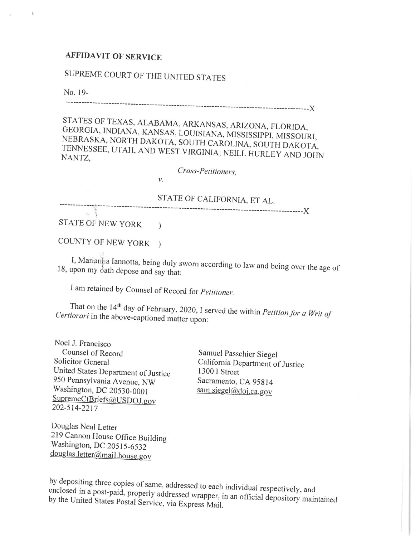## **AFFIDAVIT OF SERVICE**

## SUPREME COURT OF THE UNITED STATES

No. 19-

STATES OF TEXAS, ALABAMA, ARKANSAS, ARIZONA, FLORIDA, GEORGIA, INDIANA, KANSAS, LOUISIANA, MISSISSIPPI, MISSOURI, NEBRASKA, NORTH DAKOTA, SOUTH CAROLINA, SOUTH DAKOTA, TENNESSEE, UTAH, AND WEST VIRGINIA; NEILL HURLEY AND JOHN NANTZ.

Cross-Petitioners,

 $\nu$ .

STATE OF CALIFORNIA, ET AL. 

STATE OF NEW YORK )

COUNTY OF NEW YORK )

I, Marianha Iannotta, being duly sworn according to law and being over the age of 18, upon my dath depose and say that:

I am retained by Counsel of Record for Petitioner.

That on the 14<sup>th</sup> day of February, 2020, I served the within *Petition for a Writ of* Certiorari in the above-captioned matter upon:

Noel J. Francisco Counsel of Record Solicitor General United States Department of Justice 950 Pennsylvania Avenue, NW Washington, DC 20530-0001 SupremeCtBriefs@USDOJ.gov 202-514-2217

Samuel Passchier Siegel California Department of Justice 1300 I Street Sacramento, CA 95814 sam.siegel@doj.ca.gov

Douglas Neal Letter 219 Cannon House Office Building Washington, DC 20515-6532 douglas.letter@mail.house.gov

by depositing three copies of same, addressed to each individual respectively, and enclosed in a post-paid, properly addressed wrapper, in an official depository maintained by the United States Postal Service, via Express Mail.